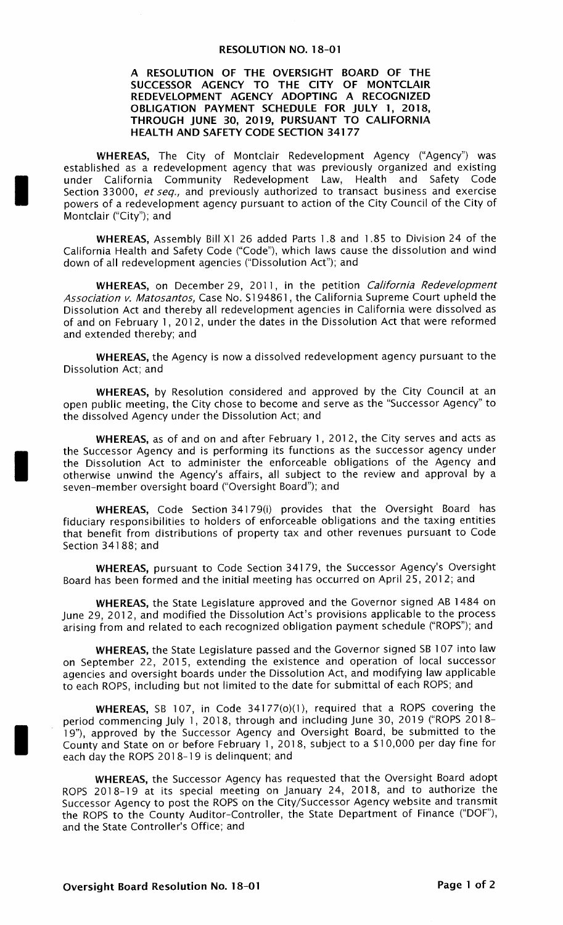## **RESOLUTION NO. 18-01**

## A RESOLUTION OF THE OVERSIGHT BOARD OF THE SUCCESSOR AGENCY TO THE CITY OF MONTCLAI REDEVELOPMENT AGENCY ADOPTING A RECOGNIZED OBLIGATION PAYMENT SCHEDULE FOR JULY 1, 2018, THROUGH JUNE 30, 2019, PURSUANT TO CALIFORNIA HEALTH AND SAFETY CODE SECTION 34177

WHEREAS, The City of Montclair Redevelopment Agency ("Agency") was established as a redevelopment agency that was previously organized and existing under California Community Redevelopment Law, Health and Safety Code Section 33000, et seq., and previously authorized to transact business and exercise powers of a redevelopment agency pursuant to action of the City Council of the City of Montclair ("City"); and

WHEREAS, Assembly Bill X1 26 added Parts 1.8 and 1.85 to Division 24 of the California Health and Safety Code (" Code"), which laws cause the dissolution and wind down of all redevelopment agencies (" Dissolution Act"); and

WHEREAS, on December 29, 2011, in the petition California Redevelopment Association v. Matosantos, Case No. 5194861, the California Supreme Court upheld the Dissolution Act and thereby all redevelopment agencies in California were dissolved as of and on February 1, 2012, under the dates in the Dissolution Act that were reformed and extended thereby; and

WHEREAS, the Agency is now a dissolved redevelopment agency pursuant to the Dissolution Act; and

WHEREAS, by Resolution considered and approved by the City Council at an open public meeting, the City chose to become and serve as the "Successor Agency" to the dissolved Agency under the Dissolution Act; and

WHEREAS, as of and on and after February 1, 2012, the City serves and acts as the Successor Agency and is performing its functions as the successor agency under the Dissolution Act to administer the enforceable obligations of the Agency and otherwise unwind the Agency's affairs, all subject to the review and approval by a seven-member oversight board ("Oversight Board"); and

WHEREAS, Code Section 34179(i) provides that the Oversight Board has fiduciary responsibilities to holders of enforceable obligations and the taxing entities that benefit from distributions of property tax and other revenues pursuant to Code Section 34188; and

WHEREAS, pursuant to Code Section 34179, the Successor Agency's Oversight Board has been formed and the initial meeting has occurred on April 25, 2012; and

WHEREAS, the State Legislature approved and the Governor signed AB 1484 on June 29, 2012, and modified the Dissolution Act's provisions applicable to the process arising from and related to each recognized obligation payment schedule (" ROPS"); and

WHEREAS, the State Legislature passed and the Governor signed SB 107 into law on September 22, 2015, extending the existence and operation of local successor agencies and oversight boards under the Dissolution Act, and modifying law applicable to each ROPS, including but not limited to the date for submittal of each ROPS; and

WHEREAS, SB 107, in Code 34177(0)(1), required that a ROPS covering the period commencing July 1, 2018, through and including June 30, 2019 ("ROPS 2018-19"), approved by the Successor Agency and Oversight Board, be submitted to the County and State on or before February 1, 2018, subject to a \$ 10, 000 per day fine for each day the ROPS 2018-19 is delinquent; and

WHEREAS, the Successor Agency has requested that the Oversight Board adopt ROPS 2018- <sup>19</sup> at its special meeting on January 24, 2018, and to authorize the Successor Agency to post the ROPS on the City/ Successor Agency website and transmit the ROPS to the County Auditor-Controller, the State Department of Finance ("DOF"), and the State Controller's Office; and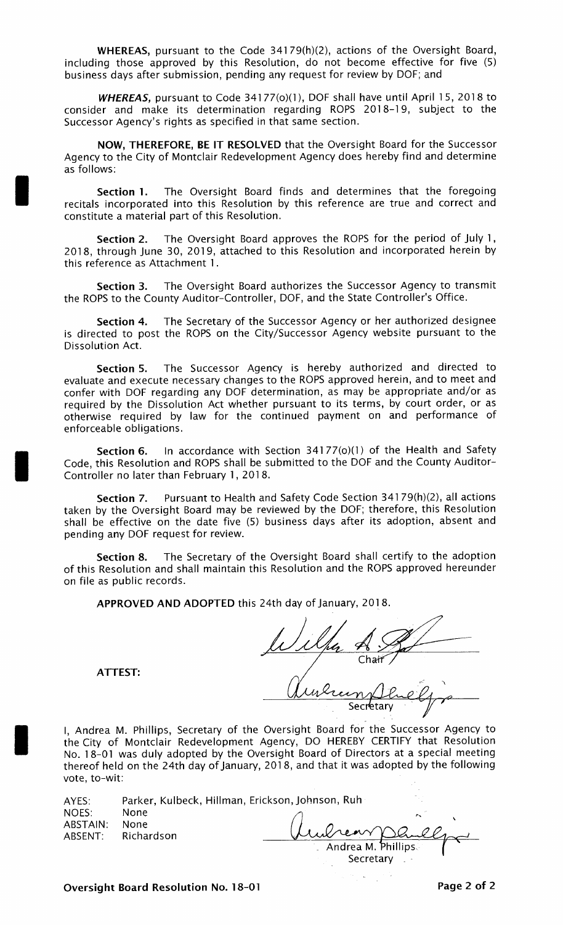WHEREAS, pursuant to the Code 34179(h)(2), actions of the Oversight Board. including those approved by this Resolution, do not become effective for five (5) business days after submission, pending any request for review by DOF; and

WHEREAS, pursuant to Code 34177(0)(1), DOF shall have until April 15, 2018 to consider and make its determination regarding ROPS 2018-19, subject to the Successor Agency's rights as specified in that same section.

NOW, THEREFORE, BE IT RESOLVED that the Oversight Board for the Successor Agency to the City of Montclair Redevelopment Agency does hereby find and determine as follows:

Section 1. The Oversight Board finds and determines that the foregoing recitals incorporated into this Resolution by this reference are true and correct and constitute a material part of this Resolution.

Section 2. The Oversight Board approves the ROPS for the period of July 1, 2018, through June 30, 2019, attached to this Resolution and incorporated herein by this reference as Attachment 1.

Section 3. The Oversight Board authorizes the Successor Agency to transmit the ROPS to the County Auditor-Controller, DOF, and the State Controller's Office.

Section 4. The Secretary of the Successor Agency or her authorized designee is directed to post the ROPS on the City/Successor Agency website pursuant to the Dissolution Act.

Section 5. The Successor Agency is hereby authorized and directed to evaluate and execute necessary changes to the ROPS approved herein, and to meet and confer with DOF regarding any DOF determination, as may be appropriate and/or as required by the Dissolution Act whether pursuant to its terms, by court order, or as otherwise required by law for the continued payment on and performance of enforceable obligations.

Section 6. In accordance with Section  $34177(0)(1)$  of the Health and Safety Code, this Resolution and ROPS shall be submitted to the DOF and the County Auditor - Controller no later than February 1, 2018.

Section 7. Pursuant to Health and Safety Code Section 34179(h)(2), all actions taken by the Oversight Board may be reviewed by the DOF; therefore, this Resolution shall be effective on the date five (5) business days after its adoption, absent and pending any DOF request for review.

Section 8. The Secretary of the Oversight Board shall certify to the adoption of this Resolution and shall maintain this Resolution and the ROPS approved hereunder on file as public records.

APPROVED AND ADOPTED this 24th day of January, 2018.

Chair

ATTEST:

Secr

I, Andrea M. Phillips, Secretary of the Oversight Board for the Successor Agency to the City of Montclair Redevelopment Agency, DO HEREBY CERTIFY that Resolution No. 18-01 was duly adopted by the Oversight Board of Directors at a special meeting thereof held on the 24th day of January, 2018, and that it was adopted by the following vote, to-wit:

| AYES:    | Parker, Kulbeck, Hillman, Erickson, Johnson, Ruh |                       |  |
|----------|--------------------------------------------------|-----------------------|--|
| NOES:    | None                                             |                       |  |
| ABSTAIN: | None                                             |                       |  |
|          | ABSENT: Richardson                               | Undream Danley        |  |
|          |                                                  | . Andrea M. Phillips. |  |

Secretary  $\qquad$ 

Oversight Board Resolution No. 18-01 **Page 2 of 2** Page 2 of 2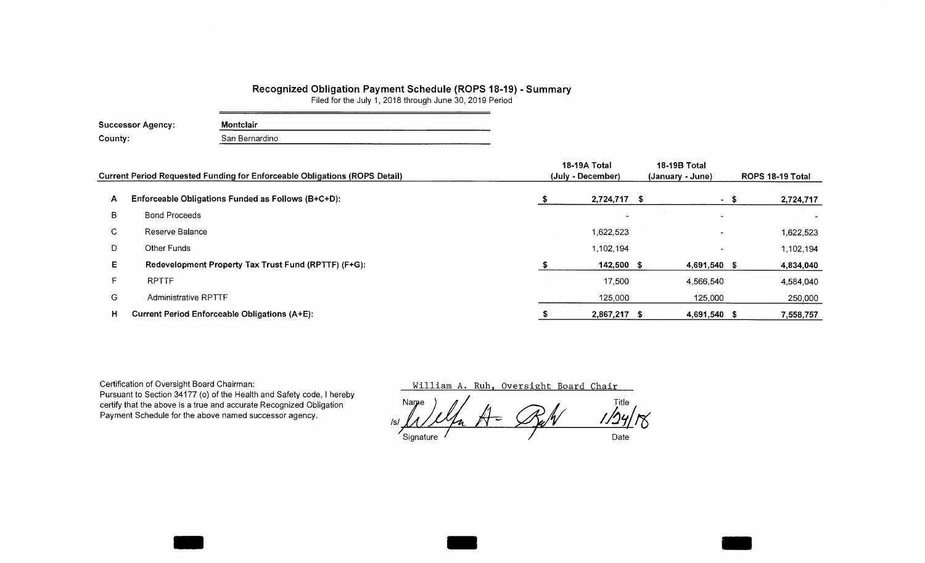## Recognized Obligation Payment Schedule (ROPS 18-19) - Summary

Filed for the July 1, 2018 through June 30, 2019 Period

| Successor Agency: | Montclair      |  |  |  |  |  |  |  |
|-------------------|----------------|--|--|--|--|--|--|--|
| County:           | San Bernardino |  |  |  |  |  |  |  |

|    | <b>Current Period Requested Funding for Enforceable Obligations (ROPS Detail)</b> | 18-19A Total<br>(July - December) | 18-19B Total<br>(January - June) | ROPS 18-19 Total |  |  |
|----|-----------------------------------------------------------------------------------|-----------------------------------|----------------------------------|------------------|--|--|
| A  | Enforceable Obligations Funded as Follows (B+C+D):                                | 2,724,717 \$                      | $\sim$                           | 2,724,717        |  |  |
| В  | <b>Bond Proceeds</b>                                                              |                                   |                                  |                  |  |  |
| C. | Reserve Balance                                                                   | 1,622,523                         |                                  | 1,622,523        |  |  |
| D  | Other Funds                                                                       | 1,102,194                         |                                  | 1,102,194        |  |  |
| E. | Redevelopment Property Tax Trust Fund (RPTTF) (F+G):                              | 142,500 \$                        | 4,691,540 \$                     | 4,834,040        |  |  |
|    | <b>RPTTF</b>                                                                      | 17,500                            | 4,566,540                        | 4,584,040        |  |  |
| G  | <b>Administrative RPTTF</b>                                                       | 125,000                           | 125,000                          | 250,000          |  |  |
| н  | <b>Current Period Enforceable Obligations (A+E):</b>                              | 2,867,217 \$                      | 4,691,540 \$                     | 7,558,757        |  |  |

Certification of Oversight Board Chairman: Pursuant to Section 34177 (o) of the Health and Safety code, I hereby certify that the above is a true and accurate Recognized Obligation Payment Schedule for the above named successor agency.

William A. Ruh, Oversight Board Chair

Name  $\left( \begin{array}{ccc} 0 & \mathcal{A} & \mathcal{A} & \mathcal{A} \end{array} \right)$  Title Is/  $M / N$  is  $M - N$  if  $N$ Signature / Date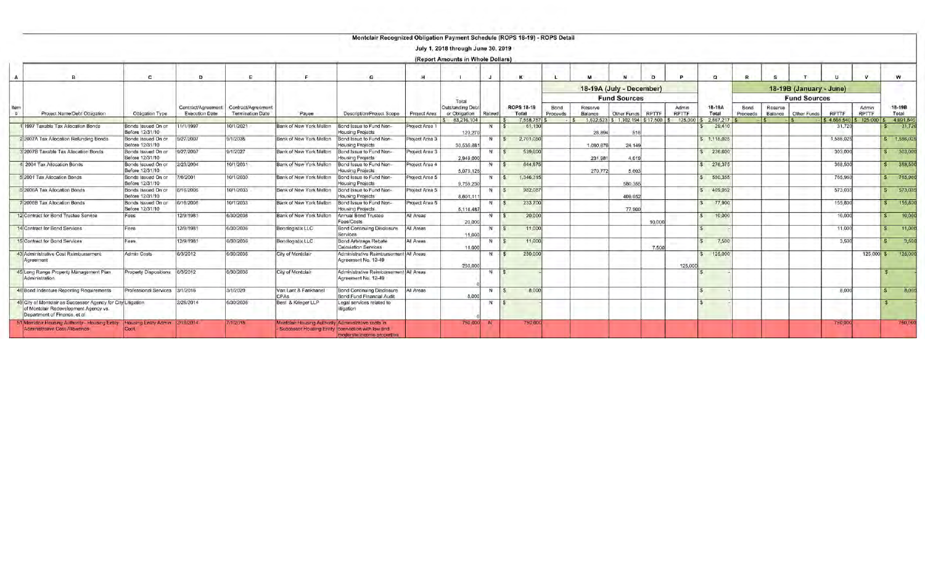|   |                                                                                                                                        |                                       |                                             |                                                      |                                                     | Montclair Recognized Obligation Payment Schedule (ROPS 18-19) - ROPS Detail           |                | July 1, 2018 through June 30, 2019 |            |                            |         |                  |                          |                                  |        |                              |                        |                  |                    |                         |                                 |                       |                         |
|---|----------------------------------------------------------------------------------------------------------------------------------------|---------------------------------------|---------------------------------------------|------------------------------------------------------|-----------------------------------------------------|---------------------------------------------------------------------------------------|----------------|------------------------------------|------------|----------------------------|---------|------------------|--------------------------|----------------------------------|--------|------------------------------|------------------------|------------------|--------------------|-------------------------|---------------------------------|-----------------------|-------------------------|
|   |                                                                                                                                        |                                       |                                             |                                                      |                                                     |                                                                                       |                | (Report Amounts in Whole Dollars)  |            |                            |         |                  |                          |                                  |        |                              |                        |                  |                    |                         |                                 |                       |                         |
| A |                                                                                                                                        | $\mathbf{c}$                          | D                                           |                                                      |                                                     | G                                                                                     | н              |                                    |            | $\kappa$                   |         |                  |                          |                                  |        |                              | $\Omega$               |                  |                    |                         |                                 |                       | W                       |
|   |                                                                                                                                        |                                       |                                             |                                                      |                                                     |                                                                                       |                |                                    |            |                            |         |                  | 18-19A (July - December) |                                  |        |                              |                        |                  |                    | 18-19B (January - June) |                                 |                       |                         |
|   |                                                                                                                                        |                                       |                                             |                                                      |                                                     |                                                                                       |                | Total                              |            |                            |         |                  |                          | <b>Fund Sources</b>              |        |                              |                        |                  |                    | <b>Fund Sources</b>     |                                 |                       |                         |
|   | Project Name/Debt Obligation                                                                                                           | Obligation Type                       | Contract/Agreement<br><b>Execution Date</b> | <b>Contract/Agreement</b><br><b>Termination Date</b> | Payee                                               | Description/Project Scope                                                             | Project Area   | Outstanding Debt<br>or Obligation  | Retired    | <b>ROPS 18-19</b><br>Total |         | Bond<br>Proceeds | Reserve<br>Balance       | Other Funds                      | RETTE  | <b>Admin</b><br><b>RPTTF</b> | 18-19A<br>Total        | Bond<br>Proceeds | Reserve<br>Balance | Other Funds             | <b>RPTTF</b>                    | Admin<br><b>RPTTF</b> | 18-19B<br>Total         |
|   | 1997 Taxable Tax Allocation Bonds                                                                                                      | Bonds Issued On or                    | 11/1/1997                                   | 10/1/2021                                            | Bank of New York Mellon                             | Bond Issue to Fund Non-                                                               | Project Area 1 | 63,216,104                         | N          | 7,558,757                  | 61.130  |                  |                          | 1,622,523 \$ 1,102,194 \$ 17,500 |        | \$125,000                    | 2,867,217<br>29,410    |                  |                    |                         | \$4,566,540 \$125,000<br>31,720 |                       | 4,691,540<br>31.72      |
|   |                                                                                                                                        | Before 12/31/10                       |                                             |                                                      |                                                     | <b>Housing Projects</b>                                                               |                | 123,270                            |            |                            |         |                  | 28,894                   | 516                              |        |                              |                        |                  |                    |                         |                                 |                       |                         |
|   | 2 2007A Tax Allocation Refunding Bonds                                                                                                 | Bonds Issued On or<br>Before 12/31/10 | 9/27/2007                                   | 9/1/2035                                             | Bank of New York Mellon                             | Bond Issue to Fund Non-<br><b>Housing Projects</b>                                    | Project Area 3 | 30.535.88                          | N.         | 2,701,050<br>$\frac{1}{5}$ |         |                  | 1.090.87                 | 24.149                           |        |                              | $S$ 1.115,025          |                  |                    |                         | 1,586,025                       |                       | \$1,586,02              |
|   | 3 2007B Taxable Tax Allocation Bonds                                                                                                   | Bonds Issued On or<br>Before 12/31/10 | 9/27/2007                                   | 9/1/2027                                             | Bank of New York Mellon                             | Bond Issue to Fund Non-<br><b>Housing Projects</b>                                    | Project Area 3 | 2,949,000                          | N.         | 539,600<br>$\sqrt{S}$      |         |                  | 231.98                   | 4,619                            |        |                              | \$ 236,600             |                  |                    |                         | 303.000                         |                       | 303.00<br>S             |
|   | 2004 Tax Allocation Bonds                                                                                                              | Bonds Issued On or<br>Before 12/31/10 | 2/23/2004                                   | 10/1/2031                                            | Bank of New York Mellon                             | Bond Issue to Fund Non-<br>Jousing Projects                                           | Project Area 4 | 5,079,125                          | N          | 5                          | 644,875 |                  | 270,772                  | 5.603                            |        |                              | \$ 276,375             |                  |                    |                         | 368,500                         |                       | 368,50<br>$\mathcal{R}$ |
|   | 5 2001 Tax Allocation Bonds                                                                                                            | Bonds Issued On or<br>Before 12/31/10 | 7/6/2001                                    | 10/1/2030                                            | Bank of New York Mellon                             | Bond Issue to Fund Non-<br><b>Housing Projects</b>                                    | Project Area 5 | 9,759,230                          | $N \simeq$ | 1,346,315                  |         |                  |                          | 580,355                          |        |                              | \$ 580,355             |                  |                    |                         | 765,960                         |                       | 765.96<br>S             |
|   | <b>S</b> 2006A Tax Allocation Bonds                                                                                                    | Bonds Issued On or<br>Before 12/31/10 | 6/16/2006                                   | 10/1/2033                                            | Bank of New York Mellon                             | Bond Issue to Fund Non-<br>Housing Projects                                           | Project Area 5 | 8,601.11                           | N          | -5                         | 982,087 |                  |                          | 409.052                          |        |                              | 409,052                |                  |                    |                         | 573,035                         |                       | 573,03                  |
|   | 7 2006B Tax Allocation Bonds                                                                                                           | Bonds Issued On or<br>Before 12/31/10 | 6/16/2006                                   | 10/1/2033                                            | Bank of New York Mellon                             | Bond Issue to Fund Non-<br>Housing Projects                                           | Project Area 5 | 5.118.487                          | N.         | l.≲                        | 233,700 |                  |                          | 77,900                           |        |                              | 77,900<br>S            |                  |                    |                         | 155,800                         |                       | 155,80                  |
|   | 12 Contract for Bond Trustee Service                                                                                                   | Fees                                  | 12/9/1981                                   | 6/30/2036                                            | Bank of New York Mellon                             | Annual Bond Trustee<br>Fees/Costs                                                     | All Areas      | 20,000                             | N          | $\frac{1}{s}$              | 20,000  |                  |                          |                                  | 10.000 |                              | 10,000<br>$\mathbf{s}$ |                  |                    |                         | 10,000                          |                       | 10,00<br>S              |
|   | 14 Contract for Bond Services                                                                                                          | Fees                                  | 12/9/1981                                   | 6/30/2036                                            | Bondlogistix LLC                                    | Bond Continuing Disclosure<br><b>Services</b>                                         | All Areas      |                                    | N          | S.                         | 11,000  |                  |                          |                                  |        |                              | $\mathcal{F}$          |                  |                    |                         | 11.000                          |                       | 11,00                   |
|   | 15 Contract for Bond Services                                                                                                          | Fees.                                 | 12/9/1981                                   | 6/30/2036                                            | Bondlogistix LLC                                    | <b>Bond Arbitrage Rebate</b>                                                          | All Areas      | 11,000                             | N          |                            | 11,000  |                  |                          |                                  |        |                              | 7,500<br>$\mathbf{s}$  |                  |                    |                         | 3,500                           |                       | 3,50                    |
|   | 43 Administrative Cost Reimbursement<br>Agreement                                                                                      | Admin Costs                           | 6/3/2012                                    | 6/30/2036                                            | City of Montclair                                   | Calculation Services<br>Administrative Reimbursement All Areas<br>Agreement No. 12-49 |                | 11,000<br>250,000                  | N          | S                          | 250,000 |                  |                          |                                  | 7,500  | 125,000                      | 125,000                |                  |                    |                         |                                 | 125,000 \$            | 125.00                  |
|   | 45 Long Range Property Management Plan<br>Administration                                                                               | Property Dispositions 6/3/2012        |                                             | 6/30/2036                                            | City of Montclair                                   | Administrative Reimbursement All Areas<br>Agreement No. 12-49                         |                |                                    | $N$ $S$    |                            |         |                  |                          |                                  |        |                              |                        |                  |                    |                         |                                 |                       |                         |
|   | 46 Bond Indenture Reporting Requirements                                                                                               | Professional Services 3/1/2016        |                                             | 3/1/2020                                             | Van Lant & Fankhanel<br>CPA <sub>S</sub>            | <b>Bond Continuing Disclosure</b><br>Bond Fund Financial Audit                        | All Areas      | 8,000                              | N.         | $\sqrt{S}$                 | 8.000   |                  |                          |                                  |        |                              | $\sim$                 |                  |                    |                         | 8,000                           |                       | 8,00<br><b>S</b>        |
|   | 49 City of Montclair as Successor Agency for City Litigation<br>of Montclair Redevelopment Agency vs.<br>Department of Finance, et al. |                                       | 2/26/2014                                   | 6/30/2036                                            | Best & Krieger LLP                                  | Legal services related to<br>litigation                                               |                |                                    | N          | 5                          |         |                  |                          |                                  |        |                              | $\mathcal{R}$          |                  |                    |                         |                                 |                       |                         |
|   | 1 Montdlair Housing Authority - Housing Entity Housing Entity Admin 2/18/2014<br><b>Administrative Cost Allowance</b>                  |                                       |                                             | 7/1/2018                                             | Montclair Housing Authority Administrative costs in | - Successor Housing Entity connection with low and<br>moderate income properties      |                | 750.000 N                          |            |                            | 750,000 |                  |                          |                                  |        |                              |                        |                  |                    |                         | 750,000                         |                       | 750,00                  |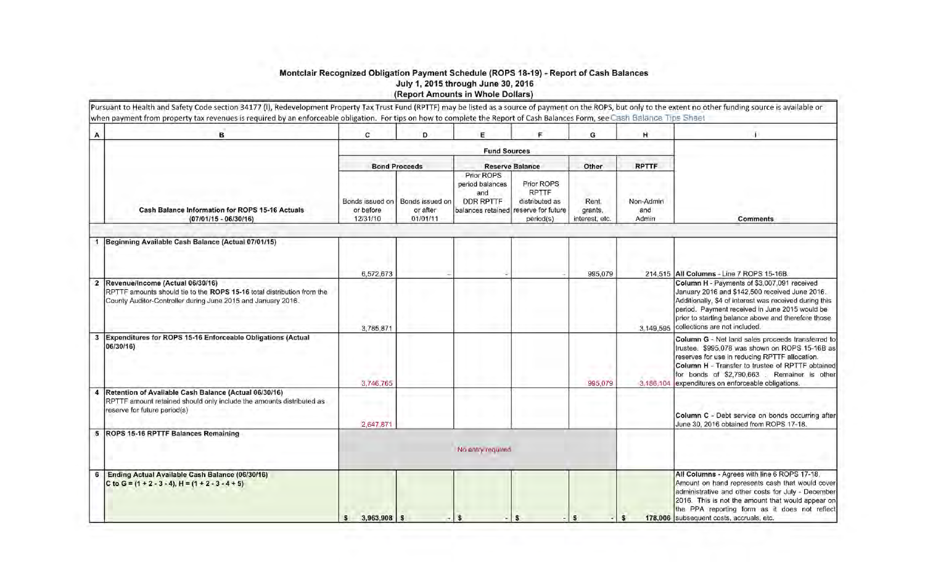## Montclair Recognized Obligation Payment Schedule (ROPS 18-19) - Report of Cash Balance July 1, 2015 through June 30, 2016 Report Amounts in Whole Dollars)

| A            | в                                                                                                                                                                          | c                                                                                   | D.                   | E                                                                             | Е                                                                               | G                                  | н                         |                                                                                                                                                                                                                                                                                                         |
|--------------|----------------------------------------------------------------------------------------------------------------------------------------------------------------------------|-------------------------------------------------------------------------------------|----------------------|-------------------------------------------------------------------------------|---------------------------------------------------------------------------------|------------------------------------|---------------------------|---------------------------------------------------------------------------------------------------------------------------------------------------------------------------------------------------------------------------------------------------------------------------------------------------------|
|              |                                                                                                                                                                            |                                                                                     |                      |                                                                               |                                                                                 |                                    |                           |                                                                                                                                                                                                                                                                                                         |
|              |                                                                                                                                                                            |                                                                                     | <b>Bond Proceeds</b> |                                                                               | <b>Reserve Balance</b>                                                          | Other                              | <b>RPTTF</b>              |                                                                                                                                                                                                                                                                                                         |
|              | Cash Balance Information for ROPS 15-16 Actuals<br>$(07/01/15 - 06/30/16)$                                                                                                 | Bonds issued on<br>Bonds issued on<br>or after<br>or before<br>01/01/11<br>12/31/10 |                      | Prior ROPS<br>period balances<br>and<br><b>DDR RPTTF</b><br>balances retained | Prior ROPS<br><b>RPTTF</b><br>distributed as<br>reserve for future<br>period(s) | Rent.<br>grants,<br>interest, etc. | Non-Admin<br>and<br>Admin | <b>Comments</b>                                                                                                                                                                                                                                                                                         |
|              | Beginning Available Cash Balance (Actual 07/01/15)                                                                                                                         |                                                                                     |                      |                                                                               |                                                                                 |                                    |                           |                                                                                                                                                                                                                                                                                                         |
|              |                                                                                                                                                                            | 6,572,673                                                                           |                      |                                                                               |                                                                                 | 995,079                            |                           | 214,515   All Columns - Line 7 ROPS 15-16B.                                                                                                                                                                                                                                                             |
| $\mathbf{2}$ | Revenue/Income (Actual 06/30/16)<br>RPTTF amounts should tie to the ROPS 15-16 total distribution from the<br>County Auditor-Controller during June 2015 and January 2016. | 3.785.871                                                                           |                      |                                                                               |                                                                                 |                                    | 3.149.595                 | Column H - Payments of \$3,007,091 received<br>January 2016 and \$142,500 received June 2016.<br>Additionally, \$4 of interest was received during this<br>period. Payment received in June 2015 would be<br>prior to starting balance above and therefore those<br>collections are not included.       |
| $\mathbf{3}$ | Expenditures for ROPS 15-16 Enforceable Obligations (Actual<br>06/30/16)                                                                                                   | 3,746,765                                                                           |                      |                                                                               |                                                                                 | 995,079                            | 3,186,104                 | Column G - Net land sales proceeds transferred to<br>trustee. \$995,078 was shown on ROPS 15-16B as<br>reserves for use in reducing RPTTF allocation.<br>Column H - Transfer to trustee of RPTTF obtained<br>for bonds of \$2,790,663. Remainer is other<br>expenditures on enforceable obligations.    |
|              | Retention of Available Cash Balance (Actual 06/30/16)<br>RPTTF amount retained should only include the amounts distributed as<br>reserve for future period(s)              | 2,647,871                                                                           |                      |                                                                               |                                                                                 |                                    |                           | Column C - Debt service on bonds occurring after<br>June 30, 2016 obtained from ROPS 17-18.                                                                                                                                                                                                             |
| 5            | ROPS 15-16 RPTTF Balances Remaining                                                                                                                                        |                                                                                     |                      | No entry required                                                             |                                                                                 |                                    |                           |                                                                                                                                                                                                                                                                                                         |
| 6            | Ending Actual Available Cash Balance (06/30/16)<br>C to G = $(1 + 2 - 3 - 4)$ , H = $(1 + 2 - 3 - 4 + 5)$                                                                  | $3,963,908$ \$                                                                      |                      | $\mathbf{s}$                                                                  | $-1s$                                                                           | $\mathbf{s}$                       |                           | All Columns - Agrees with line 6 ROPS 17-18.<br>Amount on hand represents cash that would cover<br>administrative and other costs for July - December<br>2016. This is not the amount that would appear on<br>the PPA reporting form as it does not reflect<br>178,006 subsequent costs, accruals, etc. |